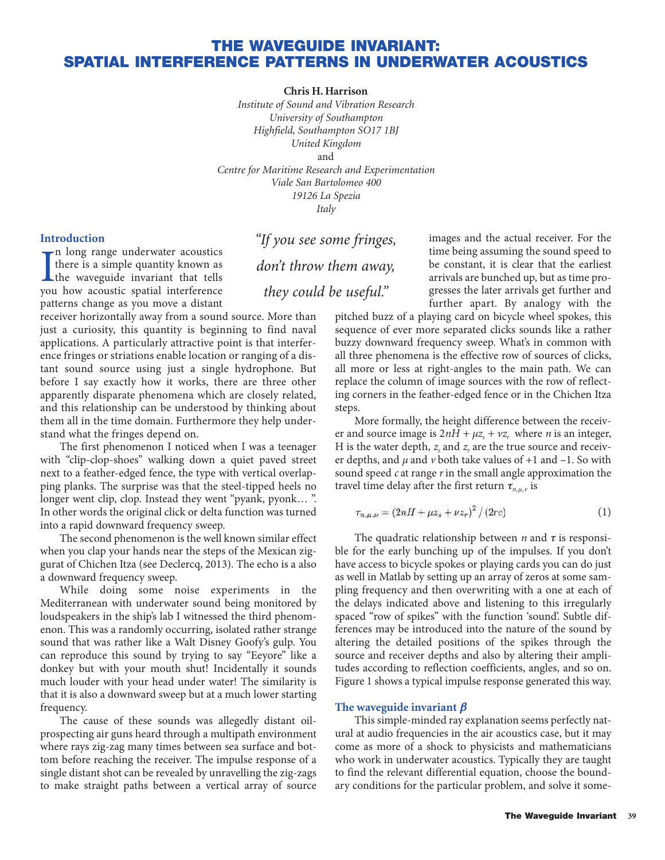# **THE WAVEGUIDE INVARIANT: SPATIAL INTERFERENCE PATTERNS IN UNDERWATER ACOUSTICS**

**Chris H. Harrison**

*Institute of Sound and Vibration Research University of Southampton Highfield, Southampton SO17 1BJ United Kingdom* and *Centre for Maritime Research and Experimentation Viale San Bartolomeo 400 19126 La Spezia Italy*

## **Introduction**

In long range underwater acoustics<br>there is a simple quantity known as<br>the waveguide invariant that tells<br>you how acoustic spatial interference n long range underwater acoustics there is a simple quantity known as you how acoustic spatial interference patterns change as you move a distant

receiver horizontally away from a sound source. More than just a curiosity, this quantity is beginning to find naval applications. A particularly attractive point is that interference fringes or striations enable location or ranging of a distant sound source using just a single hydrophone. But before I say exactly how it works, there are three other apparently disparate phenomena which are closely related, and this relationship can be understood by thinking about them all in the time domain. Furthermore they help understand what the fringes depend on.

The first phenomenon I noticed when I was a teenager with "clip-clop-shoes" walking down a quiet paved street next to a feather-edged fence, the type with vertical overlapping planks. The surprise was that the steel-tipped heels no longer went clip, clop. Instead they went "pyank, pyonk… ". In other words the original click or delta function was turned into a rapid downward frequency sweep.

The second phenomenon is the well known similar effect when you clap your hands near the steps of the Mexican ziggurat of Chichen Itza (see Declercq, 2013). The echo is a also a downward frequency sweep.

While doing some noise experiments in the Mediterranean with underwater sound being monitored by loudspeakers in the ship's lab I witnessed the third phenomenon. This was a randomly occurring, isolated rather strange sound that was rather like a Walt Disney Goofy's gulp. You can reproduce this sound by trying to say "Eeyore" like a donkey but with your mouth shut! Incidentally it sounds much louder with your head under water! The similarity is that it is also a downward sweep but at a much lower starting frequency.

The cause of these sounds was allegedly distant oilprospecting air guns heard through a multipath environment where rays zig-zag many times between sea surface and bottom before reaching the receiver. The impulse response of a single distant shot can be revealed by unravelling the zig-zags to make straight paths between a vertical array of source

"If you see some fringes, don't throw them away, they could be useful."

images and the actual receiver. For the time being assuming the sound speed to be constant, it is clear that the earliest arrivals are bunched up, but as time progresses the later arrivals get further and further apart. By analogy with the

pitched buzz of a playing card on bicycle wheel spokes, this sequence of ever more separated clicks sounds like a rather buzzy downward frequency sweep. What's in common with all three phenomena is the effective row of sources of clicks, all more or less at right-angles to the main path. We can replace the column of image sources with the row of reflecting corners in the feather-edged fence or in the Chichen Itza steps.

More formally, the height difference between the receiver and source image is  $2nH + \mu z$ ,  $\psi$  where *n* is an integer, H is the water depth,  $z<sub>s</sub>$  and  $z<sub>r</sub>$  are the true source and receiver depths, and  $\mu$  and  $\nu$  both take values of  $+1$  and  $-1$ . So with sound speed *c* at range *r* in the small angle approximation the travel time delay after the first return  $\tau_{n,\mu,\nu}$  is

$$
\tau_{n,\mu,\nu} = (2nH + \mu z_s + \nu z_r)^2 / (2rc) \tag{1}
$$

The quadratic relationship between  $n$  and  $\tau$  is responsible for the early bunching up of the impulses. If you don't have access to bicycle spokes or playing cards you can do just as well in Matlab by setting up an array of zeros at some sampling frequency and then overwriting with a one at each of the delays indicated above and listening to this irregularly spaced "row of spikes" with the function 'sound'. Subtle differences may be introduced into the nature of the sound by altering the detailed positions of the spikes through the source and receiver depths and also by altering their amplitudes according to reflection coefficients, angles, and so on. Figure 1 shows a typical impulse response generated this way.

## The waveguide invariant  $\beta$

This simple-minded ray explanation seems perfectly natural at audio frequencies in the air acoustics case, but it may come as more of a shock to physicists and mathematicians who work in underwater acoustics. Typically they are taught to find the relevant differential equation, choose the boundary conditions for the particular problem, and solve it some-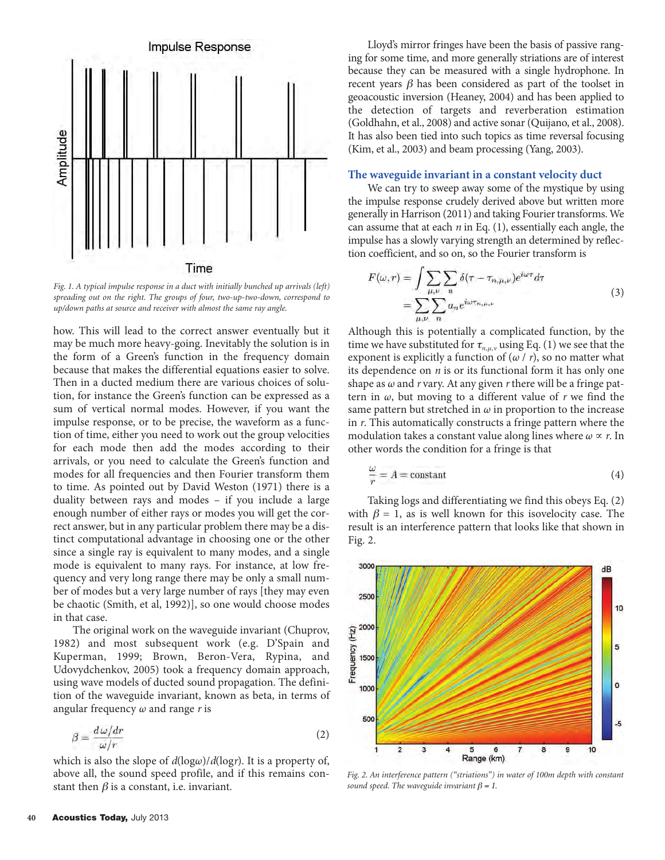

*Fig. 1. A typical impulse response in a duct with initially bunched up arrivals (left) spreading out on the right. The groups of four, two-up-two-down, correspond to up/down paths at source and receiver with almost the same ray angle.*

how. This will lead to the correct answer eventually but it may be much more heavy-going. Inevitably the solution is in the form of a Green's function in the frequency domain because that makes the differential equations easier to solve. Then in a ducted medium there are various choices of solution, for instance the Green's function can be expressed as a sum of vertical normal modes. However, if you want the impulse response, or to be precise, the waveform as a function of time, either you need to work out the group velocities for each mode then add the modes according to their arrivals, or you need to calculate the Green's function and modes for all frequencies and then Fourier transform them to time. As pointed out by David Weston (1971) there is a duality between rays and modes – if you include a large enough number of either rays or modes you will get the correct answer, but in any particular problem there may be a distinct computational advantage in choosing one or the other since a single ray is equivalent to many modes, and a single mode is equivalent to many rays. For instance, at low frequency and very long range there may be only a small number of modes but a very large number of rays [they may even be chaotic (Smith, et al, 1992)], so one would choose modes in that case.

The original work on the waveguide invariant (Chuprov, 1982) and most subsequent work (e.g. D'Spain and Kuperman, 1999; Brown, Beron-Vera, Rypina, and Udovydchenkov, 2005) took a frequency domain approach, using wave models of ducted sound propagation. The definition of the waveguide invariant, known as beta, in terms of angular frequency ω and range *r* is

$$
\beta = \frac{d\,\omega/dr}{\omega/r} \tag{2}
$$

which is also the slope of *d*(logω)/*d*(log*r*). It is a property of, above all, the sound speed profile, and if this remains constant then  $\beta$  is a constant, i.e. invariant.

Lloyd's mirror fringes have been the basis of passive ranging for some time, and more generally striations are of interest because they can be measured with a single hydrophone. In recent years  $\beta$  has been considered as part of the toolset in geoacoustic inversion (Heaney, 2004) and has been applied to the detection of targets and reverberation estimation (Goldhahn, et al., 2008) and active sonar (Quijano, et al., 2008). It has also been tied into such topics as time reversal focusing (Kim, et al., 2003) and beam processing (Yang, 2003).

# **The waveguide invariant in a constant velocity duct**

We can try to sweep away some of the mystique by using the impulse response crudely derived above but written more generally in Harrison (2011) and taking Fourier transforms. We can assume that at each *n* in Eq. (1), essentially each angle, the impulse has a slowly varying strength an determined by reflection coefficient, and so on, so the Fourier transform is

$$
F(\omega, r) = \int \sum_{\mu, \nu} \sum_{n} \delta(\tau - \tau_{n, \mu, \nu}) e^{i\omega \tau} d\tau
$$
  
= 
$$
\sum_{\mu, \nu} \sum_{n} a_n e^{i\omega \tau_{n, \mu, \nu}}
$$
 (3)

Although this is potentially a complicated function, by the time we have substituted for  $\tau_{n,\mu,\nu}$  using Eq. (1) we see that the exponent is explicitly a function of  $(\omega / r)$ , so no matter what its dependence on *n* is or its functional form it has only one shape as ω and *r* vary. At any given *r* there will be a fringe pattern in ω, but moving to a different value of *r* we find the same pattern but stretched in  $\omega$  in proportion to the increase in *r*. This automatically constructs a fringe pattern where the modulation takes a constant value along lines where  $\omega \propto r$ . In other words the condition for a fringe is that

$$
\frac{\omega}{r} = A = \text{constant} \tag{4}
$$

Taking logs and differentiating we find this obeys Eq. (2) with  $\beta = 1$ , as is well known for this isovelocity case. The result is an interference pattern that looks like that shown in Fig. 2.



*Fig. 2. An interference pattern ("striations") in water of 100m depth with constant sound speed. The waveguide invariant*  $\beta = 1$ *.*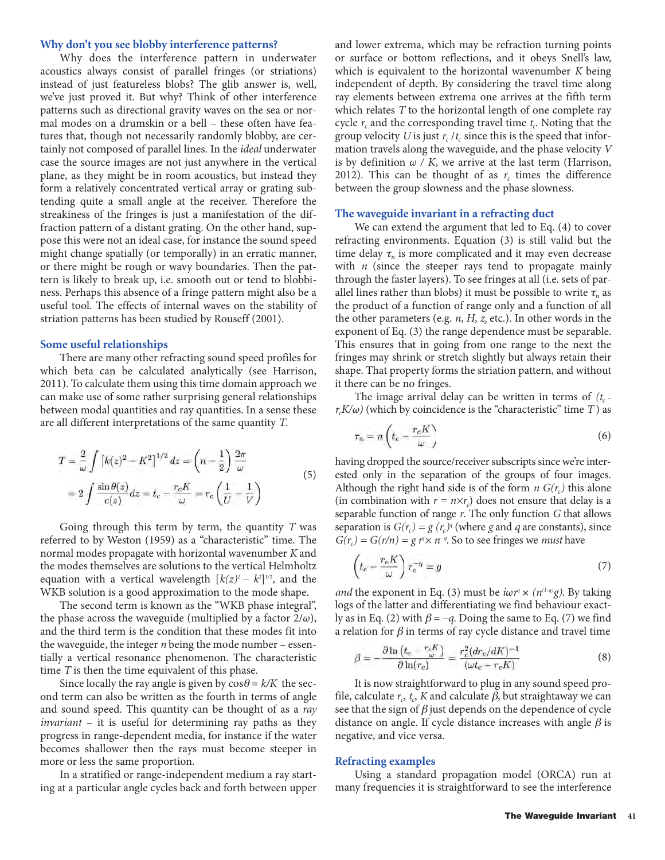#### **Why don't you see blobby interference patterns?**

Why does the interference pattern in underwater acoustics always consist of parallel fringes (or striations) instead of just featureless blobs? The glib answer is, well, we've just proved it. But why? Think of other interference patterns such as directional gravity waves on the sea or normal modes on a drumskin or a bell – these often have features that, though not necessarily randomly blobby, are certainly not composed of parallel lines. In the *ideal* underwater case the source images are not just anywhere in the vertical plane, as they might be in room acoustics, but instead they form a relatively concentrated vertical array or grating subtending quite a small angle at the receiver. Therefore the streakiness of the fringes is just a manifestation of the diffraction pattern of a distant grating. On the other hand, suppose this were not an ideal case, for instance the sound speed might change spatially (or temporally) in an erratic manner, or there might be rough or wavy boundaries. Then the pattern is likely to break up, i.e. smooth out or tend to blobbiness. Perhaps this absence of a fringe pattern might also be a useful tool. The effects of internal waves on the stability of striation patterns has been studied by Rouseff (2001).

#### **Some useful relationships**

There are many other refracting sound speed profiles for which beta can be calculated analytically (see Harrison, 2011). To calculate them using this time domain approach we can make use of some rather surprising general relationships between modal quantities and ray quantities. In a sense these are all different interpretations of the same quantity *T*.

$$
T = \frac{2}{\omega} \int \left[ k(z)^2 - K^2 \right]^{1/2} dz = \left( n - \frac{1}{2} \right) \frac{2\pi}{\omega}
$$
  
= 
$$
2 \int \frac{\sin \theta(z)}{c(z)} dz = t_c - \frac{r_c K}{\omega} = r_c \left( \frac{1}{U} - \frac{1}{V} \right)
$$
 (5)

Going through this term by term, the quantity *T* was referred to by Weston (1959) as a "characteristic" time. The normal modes propagate with horizontal wavenumber *K* and the modes themselves are solutions to the vertical Helmholtz equation with a vertical wavelength  $[k(z)^2 - k^2]^{1/2}$ , and the WKB solution is a good approximation to the mode shape.

The second term is known as the "WKB phase integral", the phase across the waveguide (multiplied by a factor  $2/\omega$ ), and the third term is the condition that these modes fit into the waveguide, the integer *n* being the mode number – essentially a vertical resonance phenomenon. The characteristic time *T* is then the time equivalent of this phase.

Since locally the ray angle is given by  $\cos\theta = k/K$  the second term can also be written as the fourth in terms of angle and sound speed. This quantity can be thought of as a *ray invariant* – it is useful for determining ray paths as they progress in range-dependent media, for instance if the water becomes shallower then the rays must become steeper in more or less the same proportion.

In a stratified or range-independent medium a ray starting at a particular angle cycles back and forth between upper

and lower extrema, which may be refraction turning points or surface or bottom reflections, and it obeys Snell's law, which is equivalent to the horizontal wavenumber *K* being independent of depth. By considering the travel time along ray elements between extrema one arrives at the fifth term which relates *T* to the horizontal length of one complete ray cycle  $r_c$  and the corresponding travel time  $t_c$ . Noting that the group velocity *U* is just  $r_c / t_c$  since this is the speed that information travels along the waveguide, and the phase velocity *V* is by definition  $\omega / K$ , we arrive at the last term (Harrison, 2012). This can be thought of as  $r_c$  times the difference between the group slowness and the phase slowness.

# **The waveguide invariant in a refracting duct**

We can extend the argument that led to Eq. (4) to cover refracting environments. Equation (3) is still valid but the time delay  $\tau_n$  is more complicated and it may even decrease with *n* (since the steeper rays tend to propagate mainly through the faster layers). To see fringes at all (i.e. sets of parallel lines rather than blobs) it must be possible to write  $\tau_n$  as the product of a function of range only and a function of all the other parameters (e.g.  $n$ ,  $H$ ,  $z<sub>s</sub>$  etc.). In other words in the exponent of Eq. (3) the range dependence must be separable. This ensures that in going from one range to the next the fringes may shrink or stretch slightly but always retain their shape. That property forms the striation pattern, and without it there can be no fringes.

The image arrival delay can be written in terms of  $(t_c - t)$  $r_cK/\omega$ ) (which by coincidence is the "characteristic" time *T*) as

$$
\tau_n = n \left( t_c - \frac{r_c K}{\omega} \right) \tag{6}
$$

having dropped the source/receiver subscripts since we're interested only in the separation of the groups of four images. Although the right hand side is of the form  $n G(r_c)$  this alone (in combination with  $r = n \times r_c$ ) does not ensure that delay is a separable function of range *r*. The only function *G* that allows separation is  $G(r_c) = g(r_c)^q$  (where *g* and *q* are constants), since  $G(r_c) = G(r/n) = g r^n \times n^{-q}$ . So to see fringes we *must* have

$$
\left(t_c - \frac{r_c K}{\omega}\right) r_c^{-q} = g \tag{7}
$$

*and* the exponent in Eq. (3) must be  $i\omega r^q \times (n^{(1-q)}g)$ . By taking logs of the latter and differentiating we find behaviour exactly as in Eq. (2) with  $\beta = -q$ . Doing the same to Eq. (7) we find a relation for  $\beta$  in terms of ray cycle distance and travel time

$$
\beta = -\frac{\partial \ln \left( t_c - \frac{r_c K}{\omega} \right)}{\partial \ln(r_c)} = \frac{r_c^2 (dr_c/dK)^{-1}}{(\omega t_c - r_c K)}\tag{8}
$$

It is now straightforward to plug in any sound speed profile, calculate  $r_c$ ,  $t_c$ , *K* and calculate  $\beta$ , but straightaway we can see that the sign of  $\beta$  just depends on the dependence of cycle distance on angle. If cycle distance increases with angle  $\beta$  is negative, and vice versa.

#### **Refracting examples**

Using a standard propagation model (ORCA) run at many frequencies it is straightforward to see the interference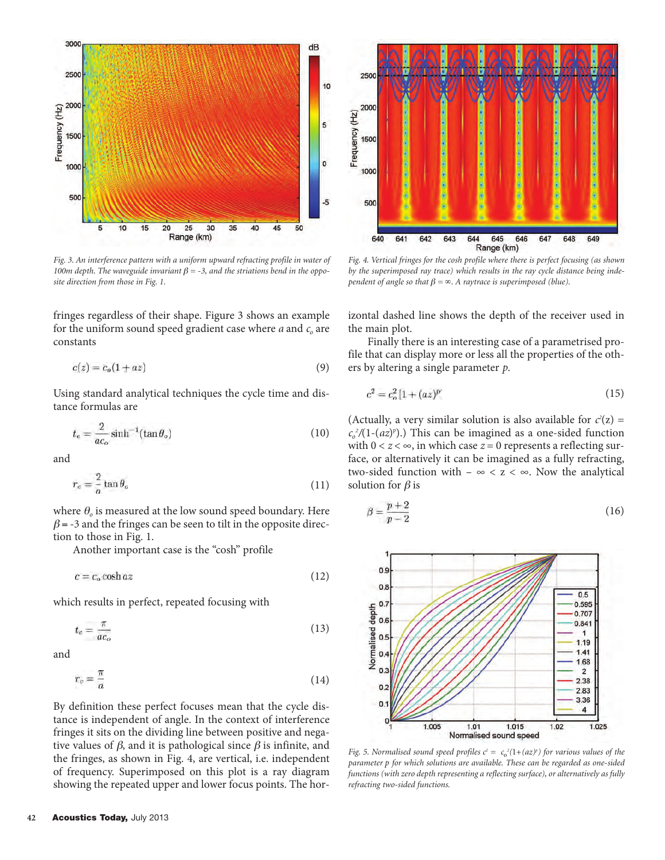

*Fig. 3. An interference pattern with a uniform upward refracting profile in water of 100m depth. The waveguide invariant*  $\beta$  = -3, and the striations bend in the oppo*site direction from those in Fig. 1.*

fringes regardless of their shape. Figure 3 shows an example for the uniform sound speed gradient case where  $a$  and  $c<sub>o</sub>$  are constants

$$
c(z) = c_o(1 + az) \tag{9}
$$

Using standard analytical techniques the cycle time and distance formulas are

$$
t_c = \frac{2}{ac_o} \sinh^{-1}(\tan \theta_o) \tag{10}
$$

and

$$
r_c = \frac{2}{a} \tan \theta_c \tag{11}
$$

where  $\theta_o$  is measured at the low sound speed boundary. Here  $\beta$  = -3 and the fringes can be seen to tilt in the opposite direction to those in Fig. 1.

Another important case is the "cosh" profile

 $c = c_o \cosh az$ (12)

which results in perfect, repeated focusing with

$$
t_c = \frac{\pi}{ac_o} \tag{13}
$$

and

$$
r_c = \frac{\pi}{a} \tag{14}
$$

By definition these perfect focuses mean that the cycle distance is independent of angle. In the context of interference fringes it sits on the dividing line between positive and negative values of  $\beta$ , and it is pathological since  $\beta$  is infinite, and the fringes, as shown in Fig. 4, are vertical, i.e. independent of frequency. Superimposed on this plot is a ray diagram showing the repeated upper and lower focus points. The hor-



*Fig. 4. Vertical fringes for the cosh profile where there is perfect focusing (as shown by the superimposed ray trace) which results in the ray cycle distance being independent of angle so that*  $\beta = \infty$ *. A raytrace is superimposed (blue).* 

izontal dashed line shows the depth of the receiver used in the main plot.

Finally there is an interesting case of a parametrised profile that can display more or less all the properties of the others by altering a single parameter *p*.

$$
c^2 = c_o^2 \left[ 1 + (az)^p \right] \tag{15}
$$

(Actually, a very similar solution is also available for  $c^2(z) =$  $c_o^2/(1-(az)$ <sup>p</sup>).) This can be imagined as a one-sided function with  $0 < z < \infty$ , in which case  $z = 0$  represents a reflecting surface, or alternatively it can be imagined as a fully refracting, two-sided function with –  $\infty < z < \infty$ . Now the analytical solution for  $\beta$  is

$$
\beta = \frac{p+2}{p-2} \tag{16}
$$



*Fig.* 5. Normalised sound speed profiles  $c^2 = c_0^2(1+(az)^p)$  for various values of the *parameter* p *for which solutions are available. These can be regarded as one-sided functions (with zero depth representing a reflecting surface), or alternatively as fully refracting two-sided functions.*